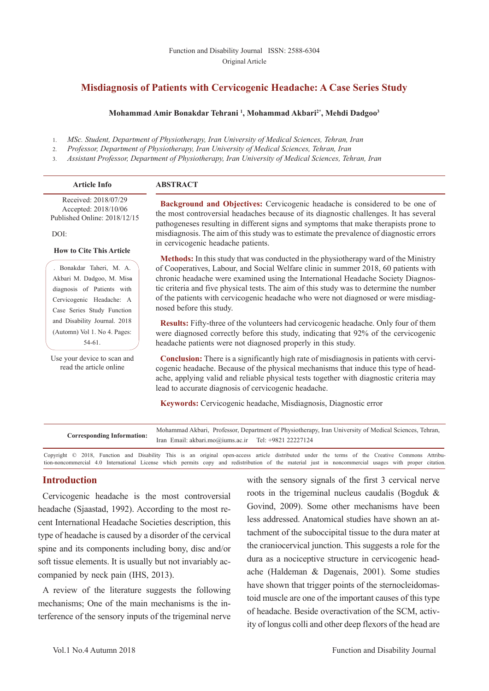# **Misdiagnosis of Patients with Cervicogenic Headache: A Case Series Study**

#### **Mohammad Amir Bonakdar Tehrani 1 , Mohammad Akbari2\*, Mehdi Dadgoo3**

- 1. *MSc. Student, Department of Physiotherapy, Iran University of Medical Sciences, Tehran, Iran*
- 2. *Professor, Department of Physiotherapy, Iran University of Medical Sciences, Tehran, Iran*

3. *Assistant Professor, Department of Physiotherapy, Iran University of Medical Sciences, Tehran, Iran*

| <b>Article Info</b>                                                                                                                                                              | <b>ABSTRACT</b>                                                                                                                                                                                                                                                                                                                                                                                                                                                                                                          |
|----------------------------------------------------------------------------------------------------------------------------------------------------------------------------------|--------------------------------------------------------------------------------------------------------------------------------------------------------------------------------------------------------------------------------------------------------------------------------------------------------------------------------------------------------------------------------------------------------------------------------------------------------------------------------------------------------------------------|
| Received: 2018/07/29<br>Accepted: 2018/10/06<br>Published Online: 2018/12/15                                                                                                     | <b>Background and Objectives:</b> Cervicogenic headache is considered to be one of<br>the most controversial headaches because of its diagnostic challenges. It has several<br>pathogeneses resulting in different signs and symptoms that make therapists prone to                                                                                                                                                                                                                                                      |
| DOI:                                                                                                                                                                             | misdiagnosis. The aim of this study was to estimate the prevalence of diagnostic errors                                                                                                                                                                                                                                                                                                                                                                                                                                  |
| <b>How to Cite This Article</b><br>. Bonakdar Taheri, M. A.<br>Akbari M. Dadgoo, M. Misa<br>diagnosis of Patients with<br>Cervicogenic Headache: A<br>Case Series Study Function | in cervicogenic headache patients.<br><b>Methods:</b> In this study that was conducted in the physiotherapy ward of the Ministry<br>of Cooperatives, Labour, and Social Welfare clinic in summer 2018, 60 patients with<br>chronic headache were examined using the International Headache Society Diagnos-<br>tic criteria and five physical tests. The aim of this study was to determine the number<br>of the patients with cervicogenic headache who were not diagnosed or were misdiag-<br>nosed before this study. |
| and Disability Journal. 2018<br>(Automn) Vol 1. No 4. Pages:<br>$54-61.$                                                                                                         | <b>Results:</b> Fifty-three of the volunteers had cervicogenic headache. Only four of them<br>were diagnosed correctly before this study, indicating that 92% of the cervicogenic<br>headache patients were not diagnosed properly in this study.                                                                                                                                                                                                                                                                        |

Use your device to scan and read the article online

**Conclusion:** There is a significantly high rate of misdiagnosis in patients with cervicogenic headache. Because of the physical mechanisms that induce this type of headache, applying valid and reliable physical tests together with diagnostic criteria may lead to accurate diagnosis of cervicogenic headache.

**Keywords:** Cervicogenic headache, Misdiagnosis, Diagnostic error

|                                   | Mohammad Akbari, Professor, Department of Physiotherapy, Iran University of Medical Sciences, Tehran, |  |  |
|-----------------------------------|-------------------------------------------------------------------------------------------------------|--|--|
| <b>Corresponding Information:</b> | Iran Email: akbari.mo@iums.ac.ir Tel: +9821 22227124                                                  |  |  |
|                                   |                                                                                                       |  |  |

Copyright © 2018, Function and Disability This is an original open-access article distributed under the terms of the Creative Commons Attribution-noncommercial 4.0 International License which permits copy and redistribution of the material just in noncommercial usages with proper citation.

## **Introduction**

Cervicogenic headache is the most controversial headache (Sjaastad, 1992). According to the most recent International Headache Societies description, this type of headache is caused by a disorder of the cervical spine and its components including bony, disc and/or soft tissue elements. It is usually but not invariably accompanied by neck pain (IHS, 2013).

A review of the literature suggests the following mechanisms; One of the main mechanisms is the interference of the sensory inputs of the trigeminal nerve with the sensory signals of the first 3 cervical nerve roots in the trigeminal nucleus caudalis (Bogduk & Govind, 2009). Some other mechanisms have been less addressed. Anatomical studies have shown an attachment of the suboccipital tissue to the dura mater at the craniocervical junction. This suggests a role for the dura as a nociceptive structure in cervicogenic headache (Haldeman & Dagenais, 2001). Some studies have shown that trigger points of the sternocleidomastoid muscle are one of the important causes of this type of headache. Beside overactivation of the SCM, activity of longus colli and other deep flexors of the head are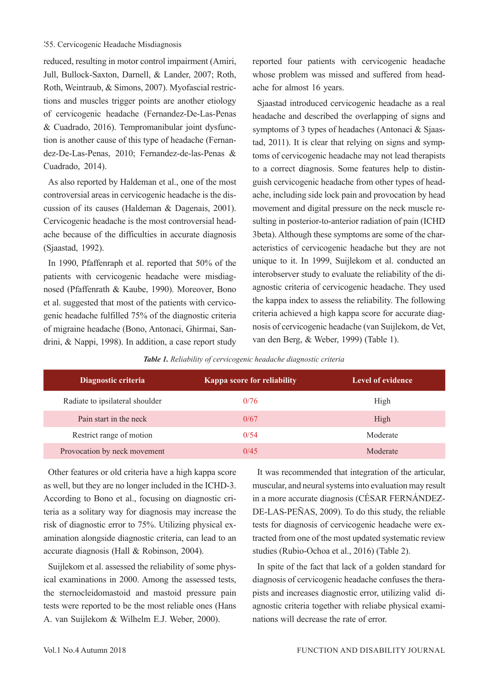#### 55. Cervicogenic Headache Misdiagnosis

reduced, resulting in motor control impairment (Amiri, Jull, Bullock-Saxton, Darnell, & Lander, 2007; Roth, Roth, Weintraub, & Simons, 2007). Myofascial restrictions and muscles trigger points are another etiology of cervicogenic headache (Fernandez-De-Las-Penas & Cuadrado, 2016). Tempromanibular joint dysfunction is another cause of this type of headache (Fernandez-De-Las-Penas, 2010; Fernandez-de-las-Penas & Cuadrado, 2014).

As also reported by Haldeman et al., one of the most controversial areas in cervicogenic headache is the discussion of its causes (Haldeman & Dagenais, 2001). Cervicogenic headache is the most controversial headache because of the difficulties in accurate diagnosis (Sjaastad, 1992).

In 1990, Pfaffenraph et al. reported that 50% of the patients with cervicogenic headache were misdiagnosed (Pfaffenrath & Kaube, 1990). Moreover, Bono et al. suggested that most of the patients with cervicogenic headache fulfilled 75% of the diagnostic criteria of migraine headache (Bono, Antonaci, Ghirmai, Sandrini, & Nappi, 1998). In addition, a case report study reported four patients with cervicogenic headache whose problem was missed and suffered from headache for almost 16 years.

Sjaastad introduced cervicogenic headache as a real headache and described the overlapping of signs and symptoms of 3 types of headaches (Antonaci & Sjaastad, 2011). It is clear that relying on signs and symptoms of cervicogenic headache may not lead therapists to a correct diagnosis. Some features help to distinguish cervicogenic headache from other types of headache, including side lock pain and provocation by head movement and digital pressure on the neck muscle resulting in posterior-to-anterior radiation of pain (ICHD 3beta). Although these symptoms are some of the characteristics of cervicogenic headache but they are not unique to it. In 1999, Suijlekom et al. conducted an interobserver study to evaluate the reliability of the diagnostic criteria of cervicogenic headache. They used the kappa index to assess the reliability. The following criteria achieved a high kappa score for accurate diagnosis of cervicogenic headache (van Suijlekom, de Vet, van den Berg, & Weber, 1999) (Table 1).

*Table 1. Reliability of cervicogenic headache diagnostic criteria*

| Diagnostic criteria             | <b>Kappa score for reliability</b> | <b>Level of evidence</b> |
|---------------------------------|------------------------------------|--------------------------|
| Radiate to ipsilateral shoulder | 0/76                               | High                     |
| Pain start in the neck          | 0/67                               | High                     |
| Restrict range of motion        | 0/54                               | Moderate                 |
| Provocation by neck movement    | 0/45                               | Moderate                 |

Other features or old criteria have a high kappa score as well, but they are no longer included in the ICHD-3. According to Bono et al., focusing on diagnostic criteria as a solitary way for diagnosis may increase the risk of diagnostic error to 75%. Utilizing physical examination alongside diagnostic criteria, can lead to an accurate diagnosis (Hall & Robinson, 2004).

Suijlekom et al. assessed the reliability of some physical examinations in 2000. Among the assessed tests, the sternocleidomastoid and mastoid pressure pain tests were reported to be the most reliable ones (Hans A. van Suijlekom & Wilhelm E.J. Weber, 2000).

It was recommended that integration of the articular, muscular, and neural systems into evaluation may result in a more accurate diagnosis (CÉSAR FERNÁNDEZ-DE-LAS-PEÑAS, 2009). To do this study, the reliable tests for diagnosis of cervicogenic headache were extracted from one of the most updated systematic review studies (Rubio-Ochoa et al., 2016) (Table 2).

In spite of the fact that lack of a golden standard for diagnosis of cervicogenic headache confuses the therapists and increases diagnostic error, utilizing valid diagnostic criteria together with reliabe physical examinations will decrease the rate of error.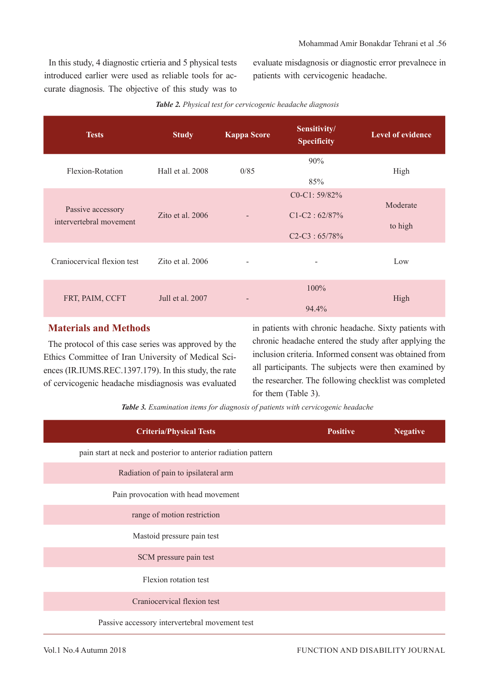In this study, 4 diagnostic crtieria and 5 physical tests introduced earlier were used as reliable tools for accurate diagnosis. The objective of this study was to

evaluate misdagnosis or diagnostic error prevalnece in patients with cervicogenic headache.

| <b>Tests</b>                                 | <b>Study</b>       | <b>Kappa Score</b> | Sensitivity/<br><b>Specificity</b>                          | <b>Level of evidence</b> |
|----------------------------------------------|--------------------|--------------------|-------------------------------------------------------------|--------------------------|
| Flexion-Rotation                             | Hall et al. 2008   | 0/85               | 90%<br>85%                                                  | High                     |
| Passive accessory<br>intervertebral movement | Zito et al. $2006$ |                    | $C0 - C1: 59/82\%$<br>$C1-C2: 62/87\%$<br>$C2-C3 : 65/78\%$ | Moderate<br>to high      |
| Craniocervical flexion test                  | Zito et al. $2006$ | -                  | -                                                           | Low                      |
| FRT, PAIM, CCFT                              | Jull et al. 2007   |                    | $100\%$<br>94.4%                                            | High                     |

#### *Table 2. Physical test for cervicogenic headache diagnosis*

# **Materials and Methods**

The protocol of this case series was approved by the Ethics Committee of Iran University of Medical Sciences (IR.IUMS.REC.1397.179). In this study, the rate of cervicogenic headache misdiagnosis was evaluated in patients with chronic headache. Sixty patients with chronic headache entered the study after applying the inclusion criteria. Informed consent was obtained from all participants. The subjects were then examined by the researcher. The following checklist was completed for them (Table 3).

*Table 3. Examination items for diagnosis of patients with cervicogenic headache*

| <b>Criteria/Physical Tests</b>                                 | <b>Positive</b> | <b>Negative</b> |
|----------------------------------------------------------------|-----------------|-----------------|
| pain start at neck and posterior to anterior radiation pattern |                 |                 |
| Radiation of pain to ipsilateral arm                           |                 |                 |
| Pain provocation with head movement                            |                 |                 |
| range of motion restriction                                    |                 |                 |
| Mastoid pressure pain test                                     |                 |                 |
| SCM pressure pain test                                         |                 |                 |
| Flexion rotation test                                          |                 |                 |
| Craniocervical flexion test                                    |                 |                 |
| Passive accessory intervertebral movement test                 |                 |                 |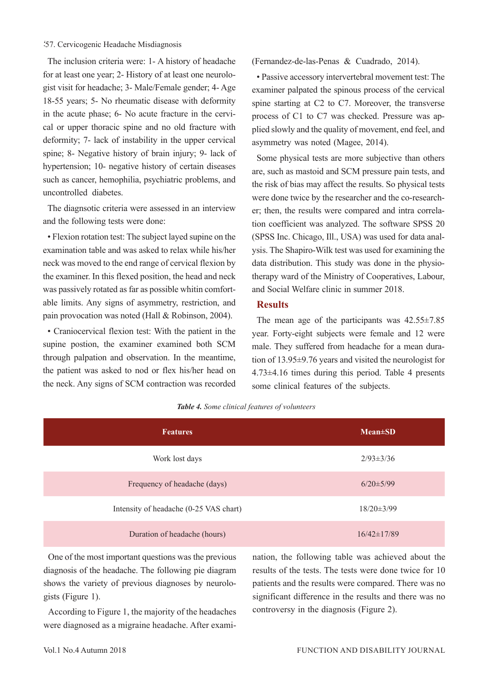#### 57. Cervicogenic Headache Misdiagnosis

The inclusion criteria were: 1- A history of headache for at least one year; 2- History of at least one neurologist visit for headache; 3- Male/Female gender; 4- Age 18-55 years; 5- No rheumatic disease with deformity in the acute phase; 6- No acute fracture in the cervical or upper thoracic spine and no old fracture with deformity; 7- lack of instability in the upper cervical spine; 8- Negative history of brain injury; 9- lack of hypertension; 10- negative history of certain diseases such as cancer, hemophilia, psychiatric problems, and uncontrolled diabetes.

The diagnsotic criteria were assessed in an interview and the following tests were done:

• Flexion rotation test: The subject layed supine on the examination table and was asked to relax while his/her neck was moved to the end range of cervical flexion by the examiner. In this flexed position, the head and neck was passively rotated as far as possible whitin comfortable limits. Any signs of asymmetry, restriction, and pain provocation was noted (Hall & Robinson, 2004).

• Craniocervical flexion test: With the patient in the supine postion, the examiner examined both SCM through palpation and observation. In the meantime, the patient was asked to nod or flex his/her head on the neck. Any signs of SCM contraction was recorded (Fernandez-de-las-Penas & Cuadrado, 2014).

• Passive accessory intervertebral movement test: The examiner palpated the spinous process of the cervical spine starting at C2 to C7. Moreover, the transverse process of C1 to C7 was checked. Pressure was applied slowly and the quality of movement, end feel, and asymmetry was noted (Magee, 2014).

Some physical tests are more subjective than others are, such as mastoid and SCM pressure pain tests, and the risk of bias may affect the results. So physical tests were done twice by the researcher and the co-researcher; then, the results were compared and intra correlation coefficient was analyzed. The software SPSS 20 (SPSS Inc. Chicago, Ill., USA) was used for data analysis. The Shapiro-Wilk test was used for examining the data distribution. This study was done in the physiotherapy ward of the Ministry of Cooperatives, Labour, and Social Welfare clinic in summer 2018.

### **Results**

The mean age of the participants was 42.55±7.85 year. Forty-eight subjects were female and 12 were male. They suffered from headache for a mean duration of 13.95±9.76 years and visited the neurologist for 4.73±4.16 times during this period. Table 4 presents some clinical features of the subjects.

| <b>Features</b>                        | $Mean \pm SD$     |
|----------------------------------------|-------------------|
| Work lost days                         | $2/93 \pm 3/36$   |
| Frequency of headache (days)           | $6/20 \pm 5/99$   |
| Intensity of headache (0-25 VAS chart) | $18/20 \pm 3/99$  |
| Duration of headache (hours)           | $16/42 \pm 17/89$ |

*Table 4. Some clinical features of volunteers*

One of the most important questions was the previous diagnosis of the headache. The following pie diagram shows the variety of previous diagnoses by neurologists (Figure 1).

According to Figure 1, the majority of the headaches were diagnosed as a migraine headache. After examination, the following table was achieved about the results of the tests. The tests were done twice for 10 patients and the results were compared. There was no significant difference in the results and there was no controversy in the diagnosis (Figure 2).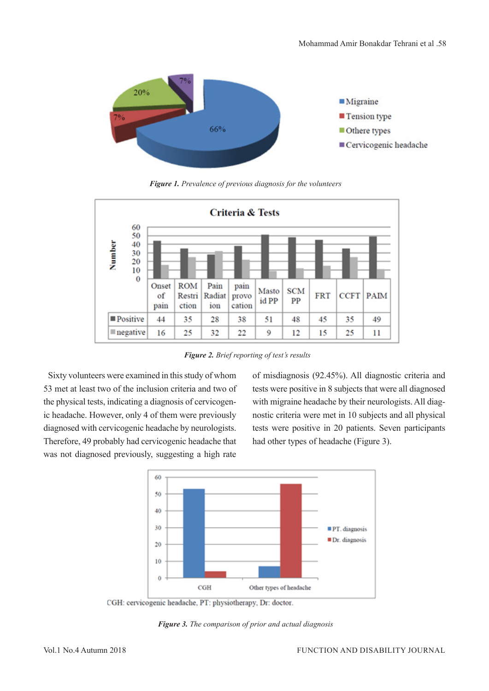

*Figure 1. Prevalence of previous diagnosis for the volunteers*



*Figure 2. Brief reporting of test's results*

Sixty volunteers were examined in this study of whom 53 met at least two of the inclusion criteria and two of the physical tests, indicating a diagnosis of cervicogenic headache. However, only 4 of them were previously diagnosed with cervicogenic headache by neurologists. Therefore, 49 probably had cervicogenic headache that was not diagnosed previously, suggesting a high rate

of misdiagnosis (92.45%). All diagnostic criteria and tests were positive in 8 subjects that were all diagnosed with migraine headache by their neurologists. All diagnostic criteria were met in 10 subjects and all physical tests were positive in 20 patients. Seven participants had other types of headache (Figure 3).



CGH: cervicogenic headache, PT: physiotherapy, Dr: doctor.

*Figure 3. The comparison of prior and actual diagnosis*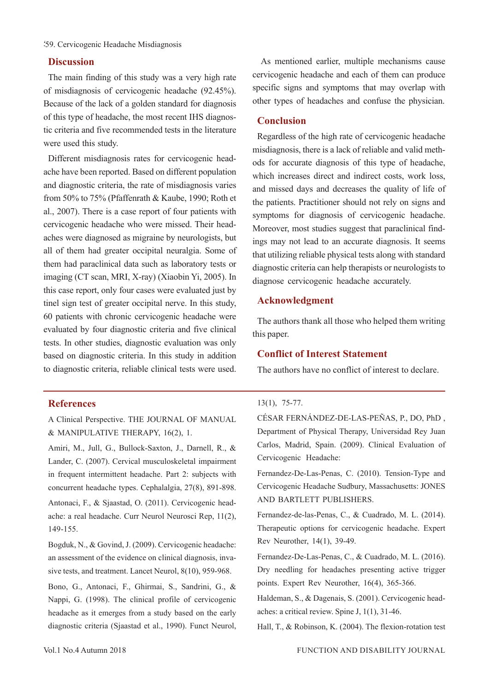#### 59. Cervicogenic Headache Misdiagnosis

### **Discussion**

The main finding of this study was a very high rate of misdiagnosis of cervicogenic headache (92.45%). Because of the lack of a golden standard for diagnosis of this type of headache, the most recent IHS diagnostic criteria and five recommended tests in the literature were used this study.

Different misdiagnosis rates for cervicogenic headache have been reported. Based on different population and diagnostic criteria, the rate of misdiagnosis varies from 50% to 75% (Pfaffenrath & Kaube, 1990; Roth et al., 2007). There is a case report of four patients with cervicogenic headache who were missed. Their headaches were diagnosed as migraine by neurologists, but all of them had greater occipital neuralgia. Some of them had paraclinical data such as laboratory tests or imaging (CT scan, MRI, X-ray) (Xiaobin Yi, 2005). In this case report, only four cases were evaluated just by tinel sign test of greater occipital nerve. In this study, 60 patients with chronic cervicogenic headache were evaluated by four diagnostic criteria and five clinical tests. In other studies, diagnostic evaluation was only based on diagnostic criteria. In this study in addition to diagnostic criteria, reliable clinical tests were used.

#### **References**

A Clinical Perspective. THE JOURNAL OF MANUAL & MANIPULATIVE THERAPY, 16(2), 1.

Amiri, M., Jull, G., Bullock-Saxton, J., Darnell, R., & Lander, C. (2007). Cervical musculoskeletal impairment in frequent intermittent headache. Part 2: subjects with concurrent headache types. Cephalalgia, 27(8), 891-898. Antonaci, F., & Sjaastad, O. (2011). Cervicogenic headache: a real headache. Curr Neurol Neurosci Rep, 11(2), 149-155.

Bogduk, N., & Govind, J. (2009). Cervicogenic headache: an assessment of the evidence on clinical diagnosis, invasive tests, and treatment. Lancet Neurol, 8(10), 959-968.

Bono, G., Antonaci, F., Ghirmai, S., Sandrini, G., & Nappi, G. (1998). The clinical profile of cervicogenic headache as it emerges from a study based on the early diagnostic criteria (Sjaastad et al., 1990). Funct Neurol,

 As mentioned earlier, multiple mechanisms cause cervicogenic headache and each of them can produce specific signs and symptoms that may overlap with other types of headaches and confuse the physician.

#### **Conclusion**

Regardless of the high rate of cervicogenic headache misdiagnosis, there is a lack of reliable and valid methods for accurate diagnosis of this type of headache, which increases direct and indirect costs, work loss, and missed days and decreases the quality of life of the patients. Practitioner should not rely on signs and symptoms for diagnosis of cervicogenic headache. Moreover, most studies suggest that paraclinical findings may not lead to an accurate diagnosis. It seems that utilizing reliable physical tests along with standard diagnostic criteria can help therapists or neurologists to diagnose cervicogenic headache accurately.

## **Acknowledgment**

The authors thank all those who helped them writing this paper.

## **Conflict of Interest Statement**

The authors have no conflict of interest to declare.

#### 13(1), 75-77.

CÉSAR FERNÁNDEZ-DE-LAS-PEÑAS, P., DO, PhD , Department of Physical Therapy, Universidad Rey Juan Carlos, Madrid, Spain. (2009). Clinical Evaluation of Cervicogenic Headache:

Fernandez-De-Las-Penas, C. (2010). Tension-Type and Cervicogenic Headache Sudbury, Massachusetts: JONES AND BARTLETT PUBLISHERS.

Fernandez-de-las-Penas, C., & Cuadrado, M. L. (2014). Therapeutic options for cervicogenic headache. Expert Rev Neurother, 14(1), 39-49.

Fernandez-De-Las-Penas, C., & Cuadrado, M. L. (2016). Dry needling for headaches presenting active trigger points. Expert Rev Neurother, 16(4), 365-366.

Haldeman, S., & Dagenais, S. (2001). Cervicogenic headaches: a critical review. Spine J, 1(1), 31-46.

Hall, T., & Robinson, K. (2004). The flexion-rotation test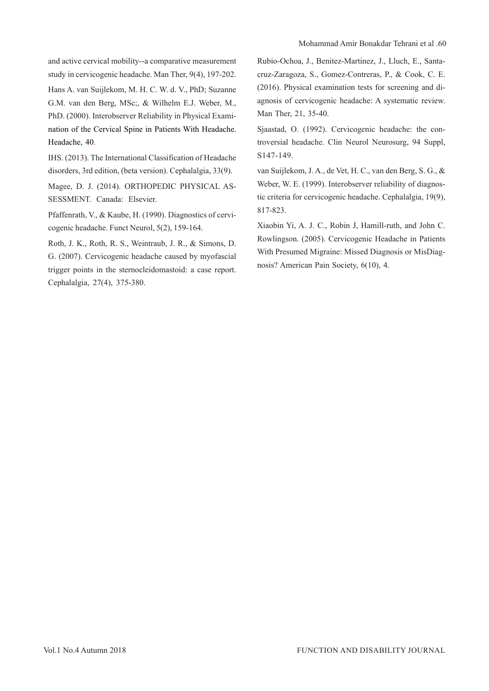and active cervical mobility--a comparative measurement study in cervicogenic headache. Man Ther, 9(4), 197-202. Hans A. van Suijlekom, M. H. C. W. d. V., PhD; Suzanne

G.M. van den Berg, MSc;, & Wilhelm E.J. Weber, M., PhD. (2000). Interobserver Reliability in Physical Examination of the Cervical Spine in Patients With Headache. Headache, 40.

IHS. (2013). The International Classification of Headache disorders, 3rd edition, (beta version). Cephalalgia, 33(9).

Magee, D. J. (2014). ORTHOPEDIC PHYSICAL AS-SESSMENT. Canada: Elsevier.

Pfaffenrath, V., & Kaube, H. (1990). Diagnostics of cervicogenic headache. Funct Neurol, 5(2), 159-164.

Roth, J. K., Roth, R. S., Weintraub, J. R., & Simons, D. G. (2007). Cervicogenic headache caused by myofascial trigger points in the sternocleidomastoid: a case report. Cephalalgia, 27(4), 375-380.

Rubio-Ochoa, J., Benitez-Martinez, J., Lluch, E., Santacruz-Zaragoza, S., Gomez-Contreras, P., & Cook, C. E. (2016). Physical examination tests for screening and diagnosis of cervicogenic headache: A systematic review. Man Ther, 21, 35-40.

Sjaastad, O. (1992). Cervicogenic headache: the controversial headache. Clin Neurol Neurosurg, 94 Suppl, S147-149.

van Suijlekom, J. A., de Vet, H. C., van den Berg, S. G., & Weber, W. E. (1999). Interobserver reliability of diagnostic criteria for cervicogenic headache. Cephalalgia, 19(9), 817-823.

Xiaobin Yi, A. J. C., Robin J, Hamill-ruth, and John C. Rowlingson. (2005). Cervicogenic Headache in Patients With Presumed Migraine: Missed Diagnosis or MisDiagnosis? American Pain Society, 6(10), 4.